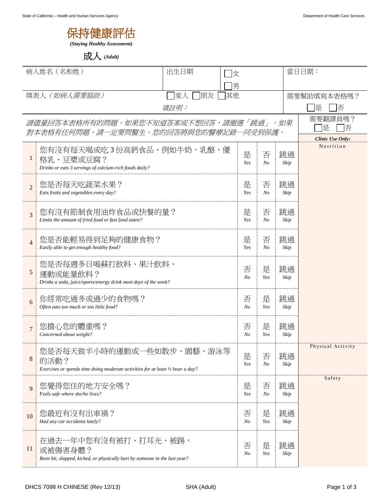

成人 *(Adult)*

| 病人姓名 (名和姓)                                                                      |                                                                                                                      | 出生日期<br>女       |                     |              |                     | 當日日期:       |                               |
|---------------------------------------------------------------------------------|----------------------------------------------------------------------------------------------------------------------|-----------------|---------------------|--------------|---------------------|-------------|-------------------------------|
|                                                                                 |                                                                                                                      |                 | 男                   |              |                     |             |                               |
| 填表人 (如病人需要協助)                                                                   |                                                                                                                      | 朋友<br> 其他<br>家人 |                     |              |                     | 需要幫助填寫本表格嗎? |                               |
|                                                                                 | <i>請註明:</i>                                                                                                          |                 |                     |              |                     |             | 惿<br>俖                        |
| 請儘量回答本表格所有的問題。如果您不知道答案或不想回答,請圈選「跳過」。如果<br>對本表格有任何問題,請一定要問醫生。您的回答將與您的醫療記錄一同受到保護。 |                                                                                                                      |                 |                     |              |                     |             | 需要翻譯員嗎?<br>是<br>否             |
|                                                                                 |                                                                                                                      |                 |                     |              |                     |             | Clinic Use Only:<br>Nutrition |
| 1                                                                               | 您有沒有每天喝或吃3份高鈣食品,例如牛奶、乳酪、優<br>格乳、豆漿或豆腐?<br>Drinks or eats 3 servings of calcium-rich foods daily?                     |                 |                     | 是<br>Yes     | 否<br>N <sub>O</sub> | 跳過<br>Skip  |                               |
| $\overline{2}$                                                                  | 您是否每天吃蔬菜水果?<br>Eats fruits and vegetables every day?                                                                 |                 |                     | 是<br>Yes     | 否<br>N <sub>O</sub> | 跳過<br>Skip  |                               |
| $\overline{3}$                                                                  | 您有沒有節制食用油炸食品或快餐的量?<br>Limits the amount of fried food or fast food eaten?                                            |                 |                     | 是<br>Yes     | 否<br>N <sub>O</sub> | 跳過<br>Skip  |                               |
| $\overline{4}$                                                                  | 您是否能輕易得到足夠的健康食物?<br>Easily able to get enough healthy food?                                                          | 是<br>Yes        | 否<br>N <sub>O</sub> | 跳過<br>Skip   |                     |             |                               |
| $\sqrt{5}$                                                                      | 您是否每週多日喝蘇打飲料、果汁飲料、<br>運動或能量飲料?<br>Drinks a soda, juice/sports/energy drink most days of the week?                    |                 |                     | 否<br>No      | 是<br>Yes            | 跳過<br>Skip  |                               |
| 6                                                                               | 你經常吃過多或過少的食物嗎?<br>Often eats too much or too little food?                                                            |                 |                     | 否<br>No      | 是<br>Yes            | 跳過<br>Skip  |                               |
| $\overline{7}$                                                                  | 您擔心您的體重嗎?<br>Concerned about weight?                                                                                 |                 |                     | 否<br>No      | 是<br>Yes            | 跳過<br>Skip  |                               |
| 8                                                                               | 您是否每天做半小時的運動或一些如散步、園藝、游泳等<br>的活動?<br>Exercises or spends time doing moderate activities for at least 1/2 hour a day? |                 |                     | 是<br>Yes     | 否<br>$N_{O}$        | 跳過<br>Skip  | Physical Activity             |
| $\mathbf{Q}$                                                                    | 您覺得您住的地方安全嗎?<br>Feels safe where she/he lives?                                                                       |                 |                     | 是<br>Yes     | 否<br>$N_{O}$        | 跳過<br>Skip  | Safety                        |
| 10                                                                              | 您最近有沒有出車禍?<br>Had any car accidents lately?                                                                          |                 |                     | 否<br>No      | 是<br>Yes            | 跳過<br>Skip  |                               |
| 11                                                                              | 在過去一年中您有沒有被打、打耳光、被踢,<br>或被傷害身體?<br>Been hit, slapped, kicked, or physically hurt by someone in the last year?        |                 |                     | 否<br>$N_{O}$ | 是<br>Yes            | 跳過<br>Skip  |                               |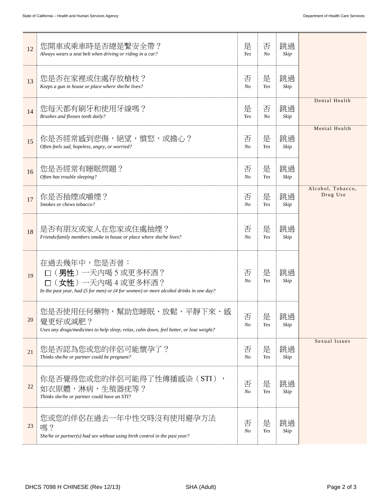| 12 | 您開車或乘車時是否總是繫安全帶?<br>Always wears a seat belt when driving or riding in a car?                                                                     | 是<br>Yes            | 否<br>No  | 跳過<br>Skip |                               |
|----|---------------------------------------------------------------------------------------------------------------------------------------------------|---------------------|----------|------------|-------------------------------|
| 13 | 您是否在家裡或住處存放槍枝?<br>Keeps a gun in house or place where she/he lives?                                                                               | 否<br>N <sub>O</sub> | 是<br>Yes | 跳過<br>Skip |                               |
| 14 | 您每天都有刷牙和使用牙線嗎?<br>Brushes and flosses teeth daily?                                                                                                | 是<br>Yes            | 否<br>No  | 跳過<br>Skip | Dental Health                 |
| 15 | 你是否經常感到悲傷,絕望,憤怒,或擔心?<br>Often feels sad, hopeless, angry, or worried?                                                                             | 否<br>$N_{O}$        | 是<br>Yes | 跳過<br>Skip | Mental Health                 |
| 16 | 您是否經常有睡眠問題?<br>Often has trouble sleeping?                                                                                                        | 否<br>$N_{O}$        | 是<br>Yes | 跳過<br>Skip |                               |
| 17 | 你是否抽煙或嚼煙?<br>Smokes or chews tobacco?                                                                                                             | 否<br>$N_{O}$        | 是<br>Yes | 跳過<br>Skip | Alcohol, Tobacco,<br>Drug Use |
| 18 | 是否有朋友或家人在您家或住處抽煙?<br>Friends/family members smoke in house or place where she/he lives?                                                           | 否<br>$N_{O}$        | 是<br>Yes | 跳過<br>Skip |                               |
| 19 | 在過去幾年中,您是否曾:<br>(男性)一天內喝 5 或更多杯酒?<br>(女性)一天內喝4或更多杯酒?<br>In the past year, had $(5$ for men) or $(4$ for women) or more alcohol drinks in one day? | 否<br>$N_{O}$        | 是<br>Yes | 跳過<br>Skip |                               |
| 20 | 您是否使用任何藥物,幫助您睡眠、放鬆、平靜下來、感<br>覺更好或減肥?<br>Uses any drugs/medicines to help sleep, relax, calm down, feel better, or lose weight?                    | 否<br>No             | 是<br>Yes | 跳過<br>Skip |                               |
| 21 | 您是否認為您或您的伴侶可能懷孕了?<br>Thinks she/he or partner could be pregnant?                                                                                  | 否<br>$N_{O}$        | 是<br>Yes | 跳過<br>Skip | Sexual Issues                 |
| 22 | 你是否覺得您或您的伴侶可能得了性傳播感染(STI),<br>如衣原體,淋病,生殖器疣等?<br>Thinks she/he or partner could have an STI?                                                       | 否<br>$N_{O}$        | 是<br>Yes | 跳過<br>Skip |                               |
| 23 | 您或您的伴侶在過去一年中性交時沒有使用避孕方法<br>嗎?<br>She/he or partner(s) had sex without using birth control in the past year?                                       | 否<br>No             | 是<br>Yes | 跳過<br>Skip |                               |